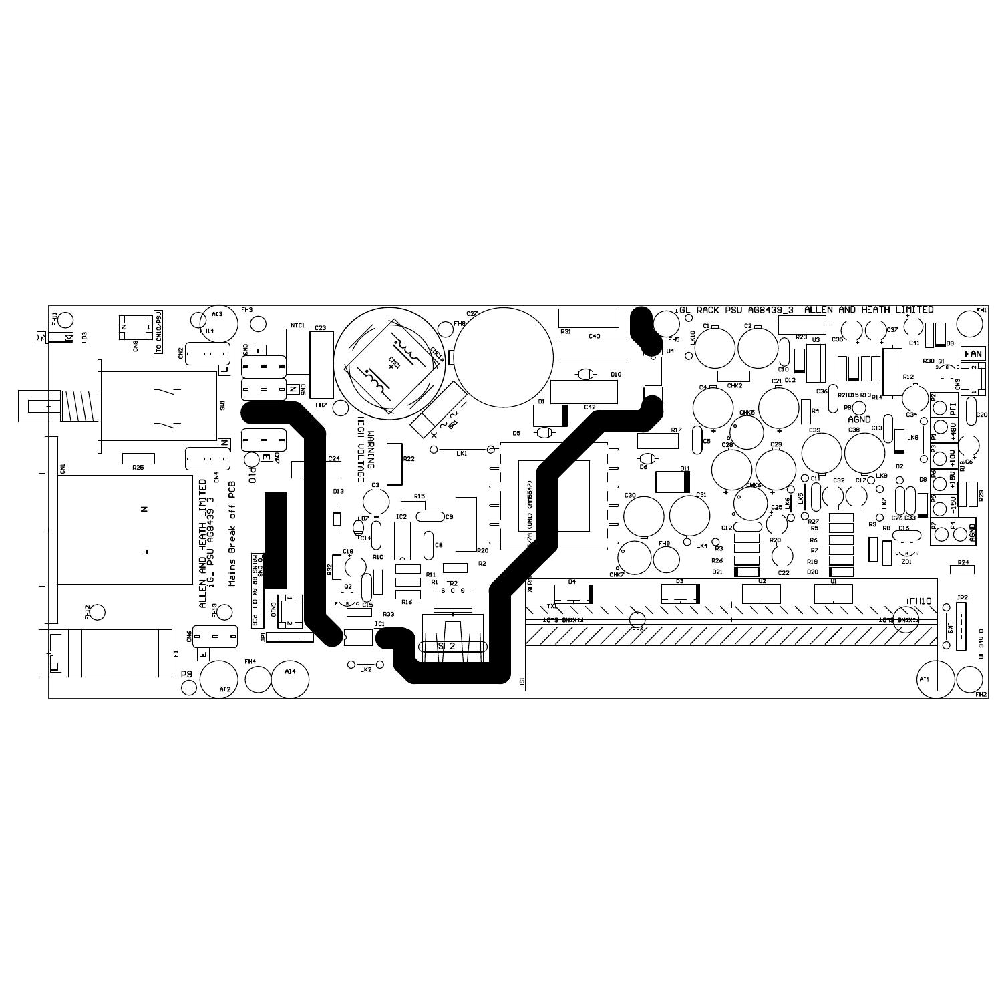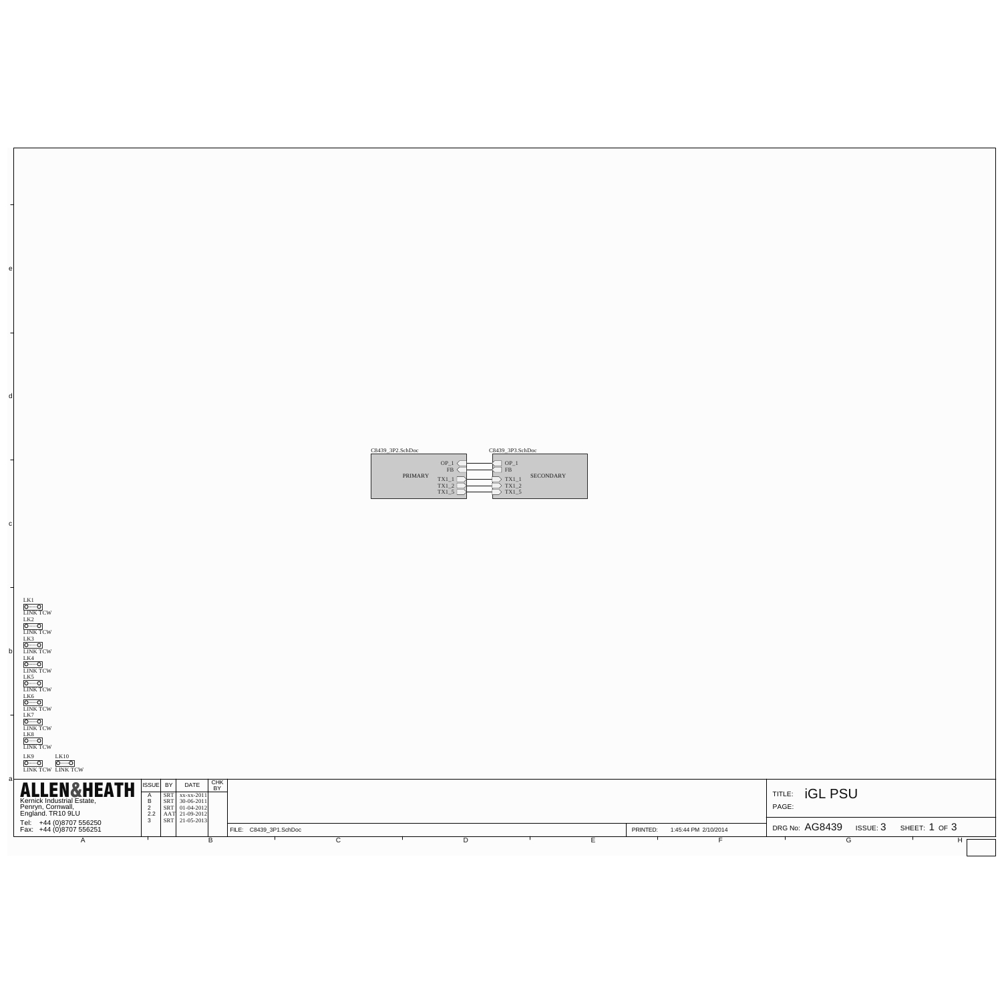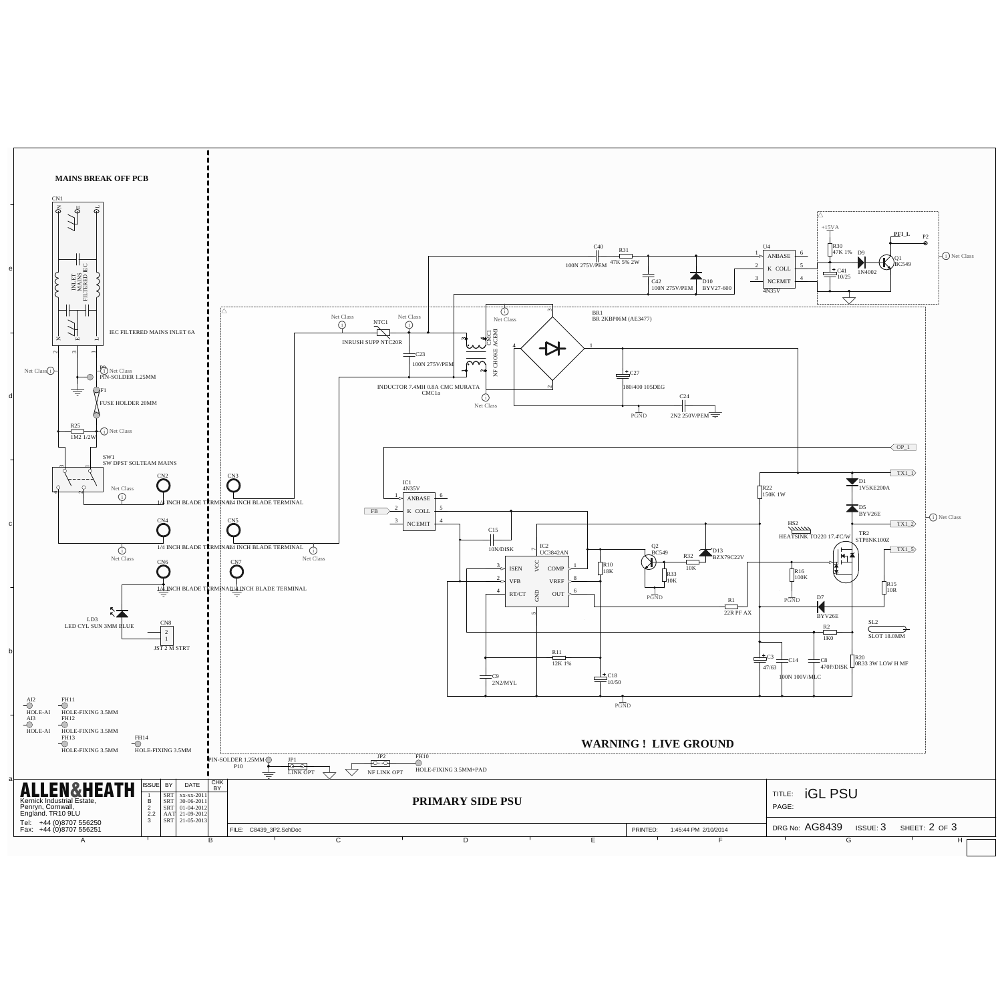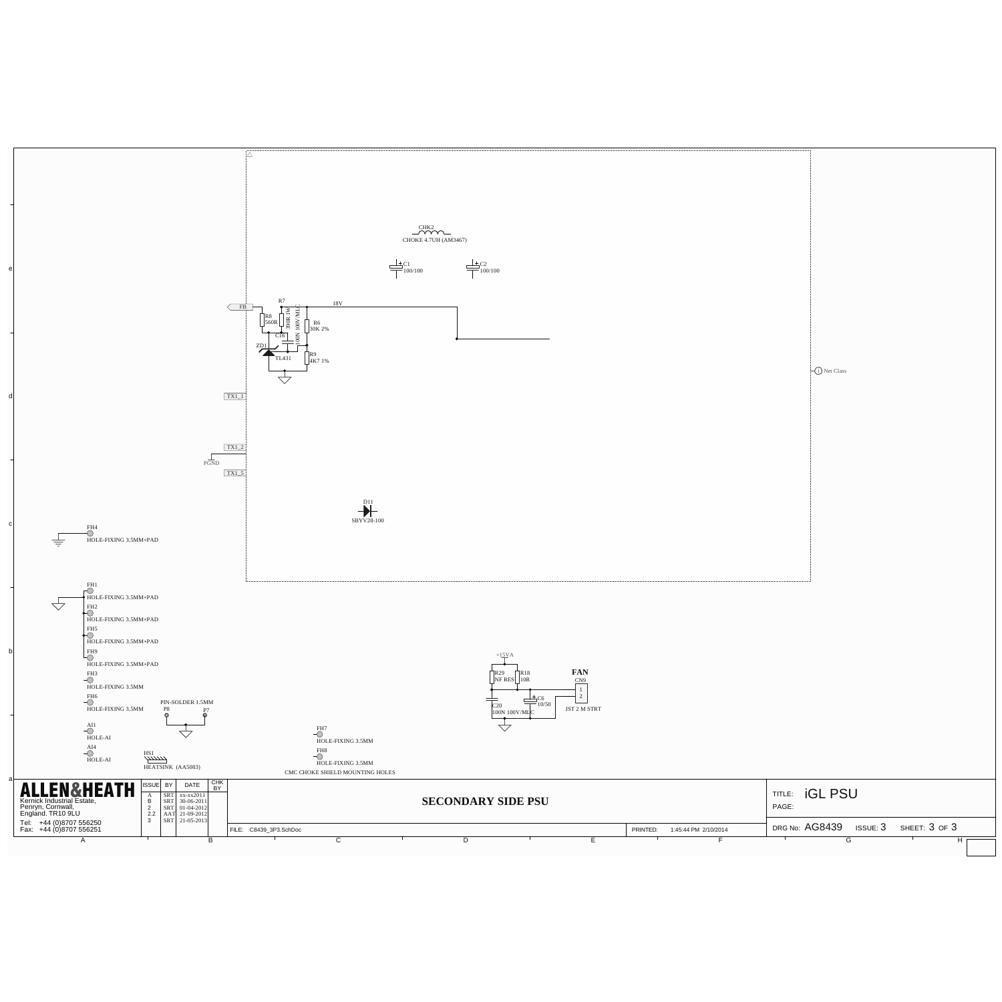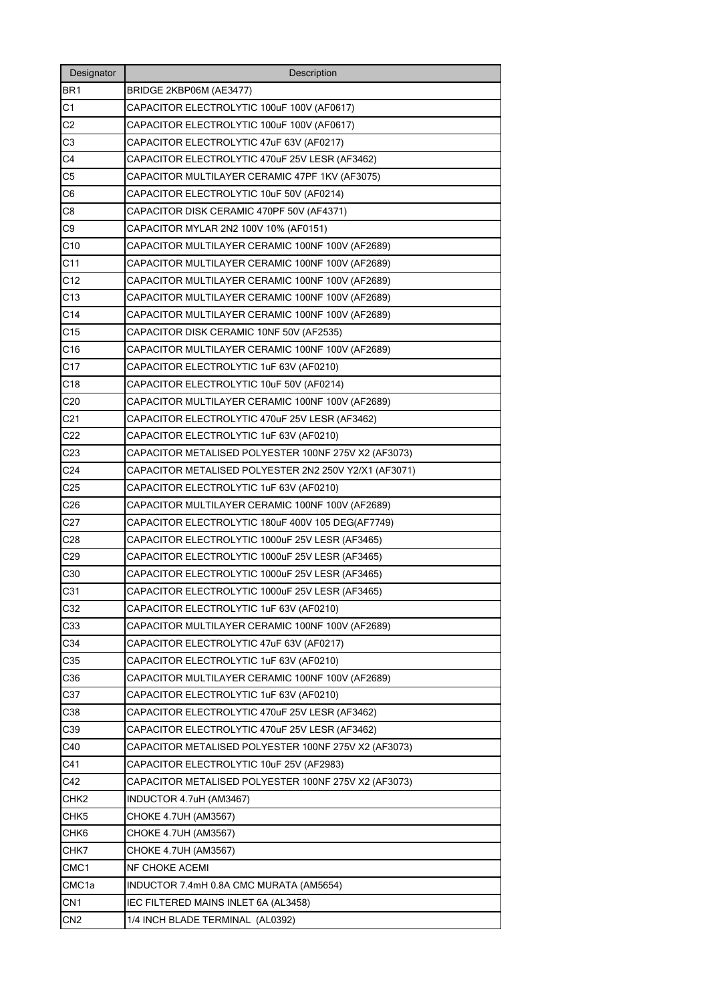| Designator        | Description                                           |
|-------------------|-------------------------------------------------------|
| BR1               | BRIDGE 2KBP06M (AE3477)                               |
| C <sub>1</sub>    | CAPACITOR ELECTROLYTIC 100uF 100V (AF0617)            |
| C <sub>2</sub>    | CAPACITOR ELECTROLYTIC 100uF 100V (AF0617)            |
| C <sub>3</sub>    | CAPACITOR ELECTROLYTIC 47uF 63V (AF0217)              |
| C <sub>4</sub>    | CAPACITOR ELECTROLYTIC 470uF 25V LESR (AF3462)        |
| C <sub>5</sub>    | CAPACITOR MULTILAYER CERAMIC 47PF 1KV (AF3075)        |
| C <sub>6</sub>    | CAPACITOR ELECTROLYTIC 10uF 50V (AF0214)              |
| C8                | CAPACITOR DISK CERAMIC 470PF 50V (AF4371)             |
| C9                | CAPACITOR MYLAR 2N2 100V 10% (AF0151)                 |
| C10               | CAPACITOR MULTILAYER CERAMIC 100NF 100V (AF2689)      |
| C <sub>11</sub>   | CAPACITOR MULTILAYER CERAMIC 100NF 100V (AF2689)      |
| C <sub>12</sub>   | CAPACITOR MULTILAYER CERAMIC 100NF 100V (AF2689)      |
| C13               | CAPACITOR MULTILAYER CERAMIC 100NF 100V (AF2689)      |
| C <sub>14</sub>   | CAPACITOR MULTILAYER CERAMIC 100NF 100V (AF2689)      |
| C <sub>15</sub>   | CAPACITOR DISK CERAMIC 10NF 50V (AF2535)              |
| C16               | CAPACITOR MULTILAYER CERAMIC 100NF 100V (AF2689)      |
| C17               | CAPACITOR ELECTROLYTIC 1uF 63V (AF0210)               |
| C <sub>18</sub>   | CAPACITOR ELECTROLYTIC 10uF 50V (AF0214)              |
| C <sub>20</sub>   | CAPACITOR MULTILAYER CERAMIC 100NF 100V (AF2689)      |
| C <sub>21</sub>   | CAPACITOR ELECTROLYTIC 470uF 25V LESR (AF3462)        |
| C <sub>22</sub>   | CAPACITOR ELECTROLYTIC 1uF 63V (AF0210)               |
| C23               | CAPACITOR METALISED POLYESTER 100NF 275V X2 (AF3073)  |
| C <sub>24</sub>   | CAPACITOR METALISED POLYESTER 2N2 250V Y2/X1 (AF3071) |
| C25               | CAPACITOR ELECTROLYTIC 1uF 63V (AF0210)               |
| C <sub>26</sub>   | CAPACITOR MULTILAYER CERAMIC 100NF 100V (AF2689)      |
| C <sub>27</sub>   | CAPACITOR ELECTROLYTIC 180uF 400V 105 DEG(AF7749)     |
| C <sub>28</sub>   | CAPACITOR ELECTROLYTIC 1000uF 25V LESR (AF3465)       |
| C <sub>29</sub>   | CAPACITOR ELECTROLYTIC 1000uF 25V LESR (AF3465)       |
| C30               | CAPACITOR ELECTROLYTIC 1000uF 25V LESR (AF3465)       |
| C <sub>31</sub>   | CAPACITOR ELECTROLYTIC 1000uF 25V LESR (AF3465)       |
| C32               | CAPACITOR ELECTROLYTIC 1uF 63V (AF0210)               |
| C33               | CAPACITOR MULTILAYER CERAMIC 100NF 100V (AF2689)      |
| C34               | CAPACITOR ELECTROLYTIC 47uF 63V (AF0217)              |
| C35               | CAPACITOR ELECTROLYTIC 1uF 63V (AF0210)               |
| C36               | CAPACITOR MULTILAYER CERAMIC 100NF 100V (AF2689)      |
| C37               | CAPACITOR ELECTROLYTIC 1uF 63V (AF0210)               |
| C38               | CAPACITOR ELECTROLYTIC 470uF 25V LESR (AF3462)        |
| C39               | CAPACITOR ELECTROLYTIC 470uF 25V LESR (AF3462)        |
| C40               | CAPACITOR METALISED POLYESTER 100NF 275V X2 (AF3073)  |
| C41               | CAPACITOR ELECTROLYTIC 10uF 25V (AF2983)              |
| C42               | CAPACITOR METALISED POLYESTER 100NF 275V X2 (AF3073)  |
| CHK <sub>2</sub>  | INDUCTOR 4.7uH (AM3467)                               |
| CHK <sub>5</sub>  | CHOKE 4.7UH (AM3567)                                  |
| CHK <sub>6</sub>  | CHOKE 4.7UH (AM3567)                                  |
| CHK7              | CHOKE 4.7UH (AM3567)                                  |
| CMC1              | NF CHOKE ACEMI                                        |
| CMC <sub>1a</sub> | INDUCTOR 7.4mH 0.8A CMC MURATA (AM5654)               |
| CN <sub>1</sub>   | IEC FILTERED MAINS INLET 6A (AL3458)                  |
| CN <sub>2</sub>   | 1/4 INCH BLADE TERMINAL (AL0392)                      |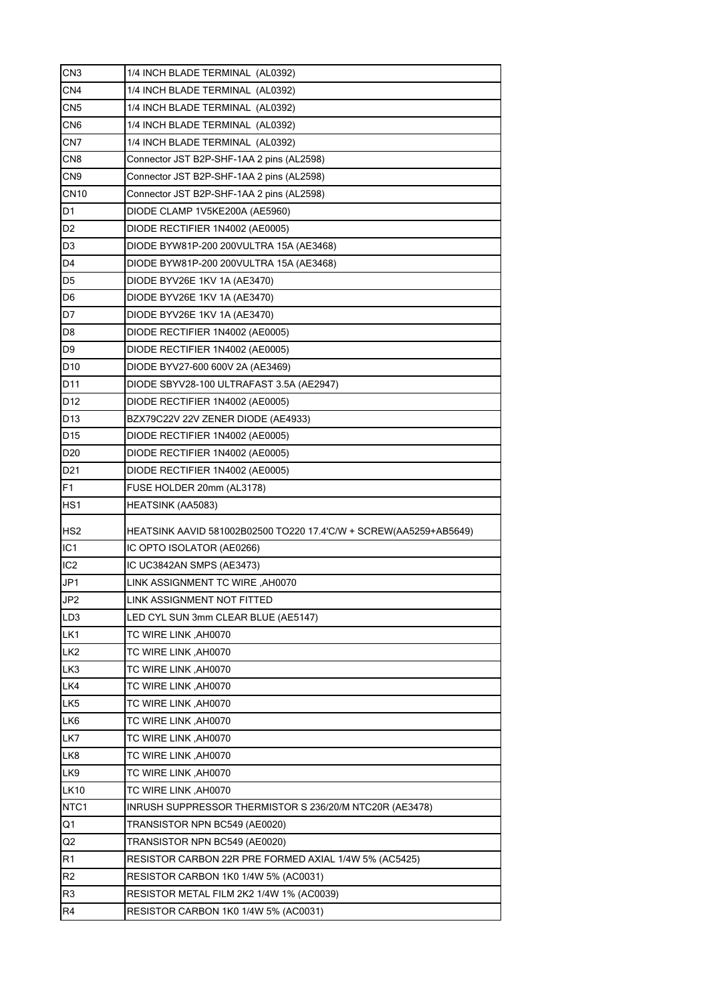| CN3             | 1/4 INCH BLADE TERMINAL (AL0392)                                  |
|-----------------|-------------------------------------------------------------------|
| CN4             | 1/4 INCH BLADE TERMINAL (AL0392)                                  |
| CN <sub>5</sub> | 1/4 INCH BLADE TERMINAL (AL0392)                                  |
| CN <sub>6</sub> | 1/4 INCH BLADE TERMINAL (AL0392)                                  |
| CN7             | 1/4 INCH BLADE TERMINAL (AL0392)                                  |
| CN <sub>8</sub> | Connector JST B2P-SHF-1AA 2 pins (AL2598)                         |
| CN <sub>9</sub> | Connector JST B2P-SHF-1AA 2 pins (AL2598)                         |
| <b>CN10</b>     | Connector JST B2P-SHF-1AA 2 pins (AL2598)                         |
| D1              | DIODE CLAMP 1V5KE200A (AE5960)                                    |
| D <sub>2</sub>  | DIODE RECTIFIER 1N4002 (AE0005)                                   |
| D <sub>3</sub>  | DIODE BYW81P-200 200VULTRA 15A (AE3468)                           |
| D4              | DIODE BYW81P-200 200VULTRA 15A (AE3468)                           |
| D <sub>5</sub>  | DIODE BYV26E 1KV 1A (AE3470)                                      |
| D <sub>6</sub>  | DIODE BYV26E 1KV 1A (AE3470)                                      |
| D7              | DIODE BYV26E 1KV 1A (AE3470)                                      |
| D <sub>8</sub>  | DIODE RECTIFIER 1N4002 (AE0005)                                   |
| D <sub>9</sub>  | DIODE RECTIFIER 1N4002 (AE0005)                                   |
| D10             | DIODE BYV27-600 600V 2A (AE3469)                                  |
| D <sub>11</sub> | DIODE SBYV28-100 ULTRAFAST 3.5A (AE2947)                          |
| D <sub>12</sub> | DIODE RECTIFIER 1N4002 (AE0005)                                   |
| D <sub>13</sub> | BZX79C22V 22V ZENER DIODE (AE4933)                                |
| D <sub>15</sub> | DIODE RECTIFIER 1N4002 (AE0005)                                   |
| D <sub>20</sub> | DIODE RECTIFIER 1N4002 (AE0005)                                   |
| D <sub>21</sub> | DIODE RECTIFIER 1N4002 (AE0005)                                   |
| F <sub>1</sub>  | FUSE HOLDER 20mm (AL3178)                                         |
| HS1             | HEATSINK (AA5083)                                                 |
| HS <sub>2</sub> | HEATSINK AAVID 581002B02500 TO220 17.4'C/W + SCREW(AA5259+AB5649) |
|                 |                                                                   |
| IC <sub>1</sub> | IC OPTO ISOLATOR (AE0266)                                         |
| IC <sub>2</sub> | IC UC3842AN SMPS (AE3473)                                         |
| JP1             | LINK ASSIGNMENT TC WIRE, AH0070                                   |
| JP2             | LINK ASSIGNMENT NOT FITTED                                        |
| LD <sub>3</sub> | LED CYL SUN 3mm CLEAR BLUE (AE5147)                               |
| LK1             | TC WIRE LINK, AH0070                                              |
| LK <sub>2</sub> | TC WIRE LINK, AH0070                                              |
| LK3             | TC WIRE LINK, AH0070                                              |
| LK4             | TC WIRE LINK, AH0070                                              |
| LK <sub>5</sub> | TC WIRE LINK, AH0070                                              |
| LK6             | TC WIRE LINK , AH0070                                             |
| LK7             | TC WIRE LINK, AH0070                                              |
| LK8             | TC WIRE LINK , AH0070                                             |
| LK9             | TC WIRE LINK, AH0070                                              |
| <b>LK10</b>     | TC WIRE LINK, AH0070                                              |
| NTC1            | INRUSH SUPPRESSOR THERMISTOR S 236/20/M NTC20R (AE3478)           |
| Q1              | TRANSISTOR NPN BC549 (AE0020)                                     |
| Q2              | TRANSISTOR NPN BC549 (AE0020)                                     |
| R <sub>1</sub>  | RESISTOR CARBON 22R PRE FORMED AXIAL 1/4W 5% (AC5425)             |
| R <sub>2</sub>  | RESISTOR CARBON 1K0 1/4W 5% (AC0031)                              |
| R <sub>3</sub>  | RESISTOR METAL FILM 2K2 1/4W 1% (AC0039)                          |